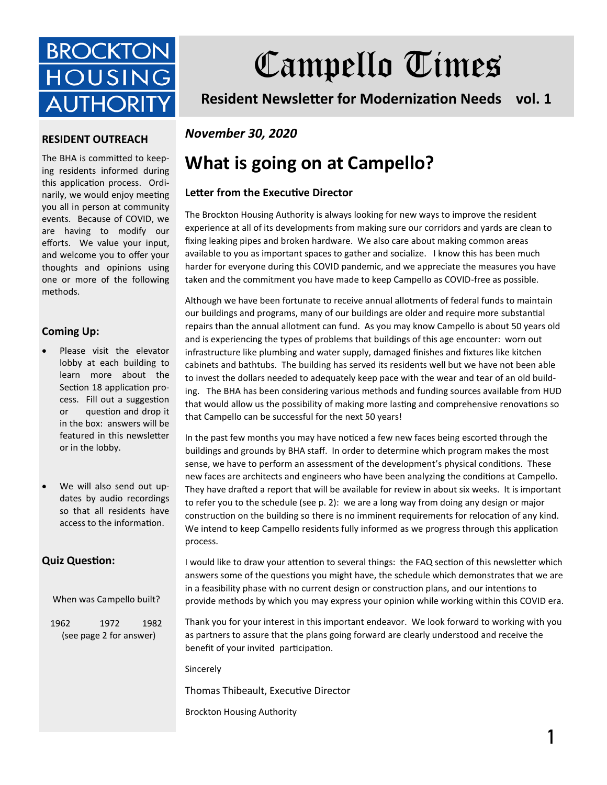

# Campello Times

**Resident Newsletter for Modernization Needs vol. 1**

#### **RESIDENT OUTREACH**

The BHA is committed to keeping residents informed during this application process. Ordinarily, we would enjoy meeting you all in person at community events. Because of COVID, we are having to modify our efforts. We value your input, and welcome you to offer your thoughts and opinions using one or more of the following methods.

#### **Coming Up:**

- Please visit the elevator lobby at each building to learn more about the Section 18 application process. Fill out a suggestion or question and drop it in the box: answers will be featured in this newsletter or in the lobby.
- We will also send out updates by audio recordings so that all residents have access to the information.

#### **Quiz Question:**

When was Campello built?

1962 1972 1982 (see page 2 for answer)

### *November 30, 2020*

## **What is going on at Campello?**

#### **Letter from the Executive Director**

The Brockton Housing Authority is always looking for new ways to improve the resident experience at all of its developments from making sure our corridors and yards are clean to fixing leaking pipes and broken hardware. We also care about making common areas available to you as important spaces to gather and socialize. I know this has been much harder for everyone during this COVID pandemic, and we appreciate the measures you have taken and the commitment you have made to keep Campello as COVID-free as possible.

Although we have been fortunate to receive annual allotments of federal funds to maintain our buildings and programs, many of our buildings are older and require more substantial repairs than the annual allotment can fund. As you may know Campello is about 50 years old and is experiencing the types of problems that buildings of this age encounter: worn out infrastructure like plumbing and water supply, damaged finishes and fixtures like kitchen cabinets and bathtubs. The building has served its residents well but we have not been able to invest the dollars needed to adequately keep pace with the wear and tear of an old building. The BHA has been considering various methods and funding sources available from HUD that would allow us the possibility of making more lasting and comprehensive renovations so that Campello can be successful for the next 50 years!

In the past few months you may have noticed a few new faces being escorted through the buildings and grounds by BHA staff. In order to determine which program makes the most sense, we have to perform an assessment of the development's physical conditions. These new faces are architects and engineers who have been analyzing the conditions at Campello. They have drafted a report that will be available for review in about six weeks. It is important to refer you to the schedule (see p. 2): we are a long way from doing any design or major construction on the building so there is no imminent requirements for relocation of any kind. We intend to keep Campello residents fully informed as we progress through this application process.

I would like to draw your attention to several things: the FAQ section of this newsletter which answers some of the questions you might have, the schedule which demonstrates that we are in a feasibility phase with no current design or construction plans, and our intentions to provide methods by which you may express your opinion while working within this COVID era.

Thank you for your interest in this important endeavor. We look forward to working with you as partners to assure that the plans going forward are clearly understood and receive the benefit of your invited participation.

Sincerely

Thomas Thibeault, Executive Director

Brockton Housing Authority